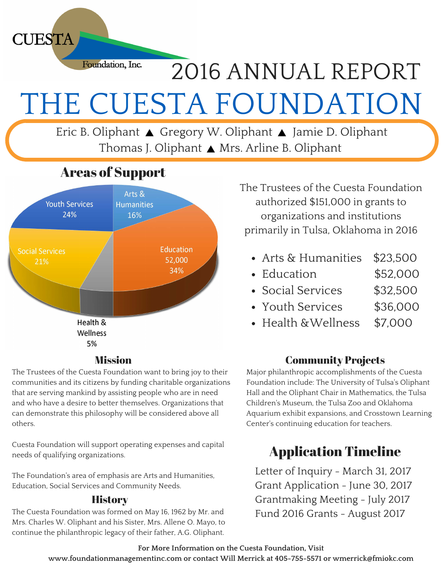Foundation, Inc. 2016 ANNUAL REPORT THE CUESTA FOUNDATION

Eric B. Oliphant ▲ Gregory W. Oliphant ▲ Jamie D. Oliphant Thomas J. Oliphant ▲ Mrs. Arline B. Oliphant

## Areas of Support

**CUESTA** 



#### Mission

The Trustees of the Cuesta Foundation want to bring joy to their communities and its citizens by funding charitable organizations that are serving mankind by assisting people who are in need and who have a desire to better themselves. Organizations that can demonstrate this philosophy will be considered above all others.

Cuesta Foundation will support operating expenses and capital needs of qualifying organizations.

The Foundation's area of emphasis are Arts and Humanities, Education, Social Services and Community Needs.

#### **History**

The Cuesta Foundation was formed on May 16, 1962 by Mr. and Mrs. Charles W. Oliphant and his Sister, Mrs. Allene O. Mayo, to continue the philanthropic legacy of their father, A.G. Oliphant.

The Trustees of the Cuesta Foundation authorized \$151,000 in grants to organizations and institutions primarily in Tulsa, Oklahoma in 2016

- Arts & Humanities \$23,500
- Education \$52,000
- Social Services \$32,500
- Youth Services \$36,000
- Health &Wellness \$7,000

### Community Projects

Major philanthropic accomplishments of the Cuesta Foundation include: The University of Tulsa's Oliphant Hall and the Oliphant Chair in Mathematics, the Tulsa Children's Museum, the Tulsa Zoo and Oklahoma Aquarium exhibit expansions, and Crosstown Learning Center's continuing education for teachers.

## Application Timeline

Letter of Inquiry - March 31, 2017 Grant Application - June 30, 2017 Grantmaking Meeting - July 2017 Fund 2016 Grants - August 2017